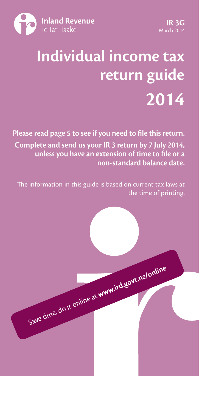

# **Individual income tax return guide 2014**

**Please read page 5 to see if you need to file this return. Complete and send us your IR 3 return by 7 July 2014, unless you have an extension of time to file or a non-standard balance date.**

The information in this guide is based on current tax laws at the time of printing.

Save time, do it online at **www.ird.govt.nz/online**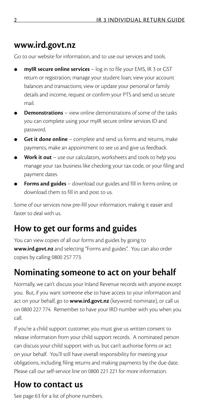## **www.ird.govt.nz**

Go to our website for information, and to use our services and tools.

- **myIR secure online services** log in to file your EMS, IR 3 or GST return or registration; manage your student loan; view your account balances and transactions; view or update your personal or family details and income, request or confirm your PTS and send us secure mail.
- **Demonstrations** view online demonstrations of some of the tasks you can complete using your myIR secure online services ID and password.
- **Get it done online** complete and send us forms and returns, make payments, make an appointment to see us and give us feedback.
- **Work it out** use our calculators, worksheets and tools to help you manage your tax business like checking your tax code, or your filing and payment dates.
- **Forms and guides** download our guides and fill in forms online, or download them to fill in and post to us.

Some of our services now pre-fill your information, making it easier and faster to deal with us.

## **How to get our forms and guides**

You can view copies of all our forms and guides by going to **www.ird.govt.nz** and selecting "Forms and guides". You can also order copies by calling 0800 257 773.

# **Nominating someone to act on your behalf**

Normally, we can't discuss your Inland Revenue records with anyone except you. But, if you want someone else to have access to your information and act on your behalf, go to **www.ird.govt.nz** (keyword: nominate), or call us on 0800 227 774. Remember to have your IRD number with you when you call.

If you're a child support customer, you must give us written consent to release information from your child support records. A nominated person can discuss your child support with us, but can't authorise forms or act on your behalf. You'll still have overall responsibility for meeting your obligations, including filing returns and making payments by the due date. Please call our self-service line on 0800 221 221 for more information.

## **How to contact us**

See page 63 for a list of phone numbers.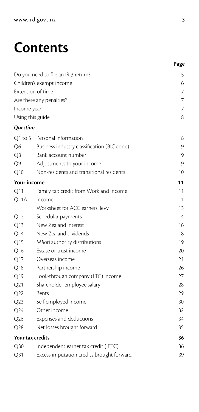# **Contents**

|                  |                                             | Page |
|------------------|---------------------------------------------|------|
|                  | Do you need to file an IR 3 return?         | 5    |
|                  | Children's exempt income                    | 6    |
|                  | Extension of time                           | 7    |
|                  | Are there any penalties?                    | 7    |
| Income year      |                                             | 7    |
| Using this guide |                                             | 8    |
| Question         |                                             |      |
| Q1 to 5          | Personal information                        | 8    |
| Q6               | Business industry classification (BIC code) | 9    |
| Q8               | Bank account number                         | 9    |
| Q9               | Adjustments to your income                  | 9    |
| Q10              | Non-residents and transitional residents    | 10   |
| Your income      |                                             | 11   |
| Q11              | Family tax credit from Work and Income      | 11   |
| Q11A             | Income                                      | 11   |
|                  | Worksheet for ACC earners' levy             | 13   |
| Q12              | Schedular payments                          | 14   |
| Q13              | New Zealand interest                        | 16   |
| Q14              | New Zealand dividends                       | 18   |
| Q15              | Māori authority distributions               | 19   |
| Q16              | Estate or trust income                      | 20   |
| Q17              | Overseas income                             | 21   |
| Q18              | Partnership income                          | 26   |
| Q19              | Look-through company (LTC) income           | 27   |
| Q <sub>21</sub>  | Shareholder-employee salary                 | 28   |
| Q22              | Rents                                       | 29   |
| Q23              | Self-employed income                        | 30   |
| Q24              | Other income                                | 32   |
| Q <sub>26</sub>  | Expenses and deductions                     | 34   |
| Q28              | Net losses brought forward                  | 35   |
| Your tax credits |                                             | 36   |
| O30              | Independent earner tax credit (IETC)        | 36   |
| Q31              | Excess imputation credits brought forward   | 39   |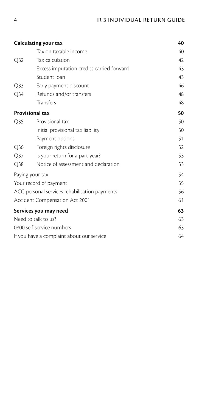|                 | Calculating your tax                          | 40 |
|-----------------|-----------------------------------------------|----|
|                 | Tax on taxable income                         | 40 |
| Q <sub>32</sub> | Tax calculation                               | 42 |
|                 | Excess imputation credits carried forward     | 43 |
|                 | Student loan                                  | 43 |
| Q <sub>33</sub> | Early payment discount                        | 46 |
| $Q$ 34          | Refunds and/or transfers                      | 48 |
|                 | Transfers                                     | 48 |
|                 | <b>Provisional tax</b>                        | 50 |
| O35             | Provisional tax                               | 50 |
|                 | Initial provisional tax liability             | 50 |
|                 | Payment options                               | 51 |
| Q <sub>36</sub> | Foreign rights disclosure                     | 52 |
| Q37             | Is your return for a part-year?               | 53 |
| Q <sub>38</sub> | Notice of assessment and declaration          | 53 |
|                 | Paying your tax                               | 54 |
|                 | Your record of payment                        | 55 |
|                 | ACC personal services rehabilitation payments | 56 |
|                 | Accident Compensation Act 2001                | 61 |
|                 | Services you may need                         | 63 |
|                 | Need to talk to us?                           | 63 |
|                 | 0800 self-service numbers                     | 63 |
|                 | If you have a complaint about our service     | 64 |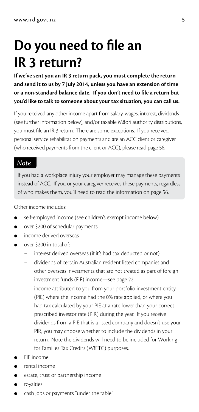# **Do you need to file an IR 3 return?**

**If we've sent you an IR 3 return pack, you must complete the return and send it to us by 7 July 2014, unless you have an extension of time or a non-standard balance date. If you don't need to file a return but you'd like to talk to someone about your tax situation, you can call us.**

If you received any other income apart from salary, wages, interest, dividends (see further information below), and/or taxable Māori authority distributions, you must file an IR 3 return. There are some exceptions. If you received personal service rehabilitation payments and are an ACC client or caregiver (who received payments from the client or ACC), please read page 56.

#### *Note*

If you had a workplace injury your employer may manage these payments instead of ACC. If you or your caregiver receives these payments, regardless of who makes them, you'll need to read the information on page 56.

Other income includes:

- self-employed income (see children's exempt income below)
- over \$200 of schedular payments
- income derived overseas
- over \$200 in total of:
	- interest derived overseas (if it's had tax deducted or not)
	- dividends of certain Australian resident listed companies and other overseas investments that are not treated as part of foreign investment funds (FIF) income—see page 22
	- income attributed to you from your portfolio investment entity (PIE) where the income had the 0% rate applied, or where you had tax calculated by your PIE at a rate lower than your correct prescribed investor rate (PIR) during the year. If you receive dividends from a PIE that is a listed company and doesn't use your PIR, you may choose whether to include the dividends in your return. Note the dividends will need to be included for Working for Families Tax Credits (WfFTC) purposes.
- FIF income
- rental income
- estate, trust or partnership income
- royalties
- cash jobs or payments "under the table"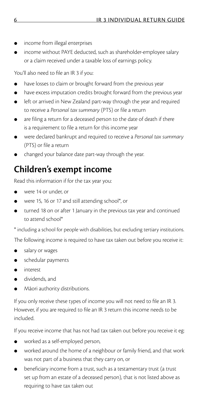- income from illegal enterprises
- income without PAYE deducted, such as shareholder-employee salary or a claim received under a taxable loss of earnings policy.

You'll also need to file an IR 3 if you:

- have losses to claim or brought forward from the previous year
- have excess imputation credits brought forward from the previous year
- left or arrived in New Zealand part-way through the year and required to receive a *Personal tax summary* (PTS) or file a return
- are filing a return for a deceased person to the date of death if there is a requirement to file a return for this income year
- were declared bankrupt and required to receive a *Personal tax summary* (PTS) or file a return
- changed your balance date part-way through the year.

# **Children's exempt income**

Read this information if for the tax year you:

- were 14 or under, or
- were 15, 16 or 17 and still attending school\*, or
- turned 18 on or after 1 January in the previous tax year and continued to attend school\*

\* including a school for people with disabilities, but excluding tertiary institutions.

The following income is required to have tax taken out before you receive it:

- salary or wages
- schedular payments
- interest
- dividends, and
- Māori authority distributions.

If you only receive these types of income you will not need to file an IR 3. However, if you are required to file an IR 3 return this income needs to be included.

If you receive income that has not had tax taken out before you receive it eg:

- worked as a self-employed person,
- worked around the home of a neighbour or family friend, and that work was not part of a business that they carry on, or
- beneficiary income from a trust, such as a testamentary trust (a trust set up from an estate of a deceased person), that is not listed above as requiring to have tax taken out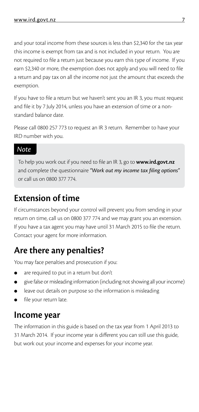and your total income from these sources is less than \$2,340 for the tax year this income is exempt from tax and is not included in your return. You are not required to file a return just because you earn this type of income. If you earn \$2,340 or more, the exemption does not apply and you will need to file a return and pay tax on all the income not just the amount that exceeds the exemption.

If you have to file a return but we haven't sent you an IR 3, you must request and file it by 7 July 2014, unless you have an extension of time or a nonstandard balance date.

Please call 0800 257 773 to request an IR 3 return. Remember to have your IRD number with you.

#### *Note*

To help you work out if you need to file an IR 3, go to **www.ird.govt.nz** and complete the questionnaire *"Work out my income tax filing options"* or call us on 0800 377 774.

## **Extension of time**

If circumstances beyond your control will prevent you from sending in your return on time, call us on 0800 377 774 and we may grant you an extension. If you have a tax agent you may have until 31 March 2015 to file the return. Contact your agent for more information.

## **Are there any penalties?**

You may face penalties and prosecution if you:

- are required to put in a return but don't
- give false or misleading information (including not showing all your income)
- leave out details on purpose so the information is misleading
- file your return late.

## **Income year**

The information in this guide is based on the tax year from 1 April 2013 to 31 March 2014. If your income year is different you can still use this guide, but work out your income and expenses for your income year.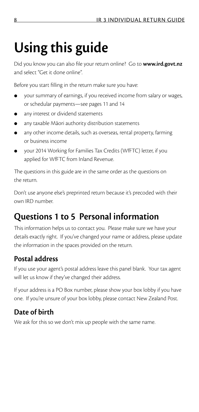# **Using this guide**

Did you know you can also file your return online? Go to **www.ird.govt.nz** and select "Get it done online".

Before you start filling in the return make sure you have:

- your summary of earnings, if you received income from salary or wages, or schedular payments—see pages 11 and 14
- any interest or dividend statements
- any taxable Māori authority distribution statements
- any other income details, such as overseas, rental property, farming or business income
- your 2014 Working for Families Tax Credits (WfFTC) letter, if you applied for WfFTC from Inland Revenue.

The questions in this guide are in the same order as the questions on the return.

Don't use anyone else's preprinted return because it's precoded with their own IRD number.

# **Questions 1 to 5 Personal information**

This information helps us to contact you. Please make sure we have your details exactly right. If you've changed your name or address, please update the information in the spaces provided on the return.

### **Postal address**

If you use your agent's postal address leave this panel blank. Your tax agent will let us know if they've changed their address.

If your address is a PO Box number, please show your box lobby if you have one. If you're unsure of your box lobby, please contact New Zealand Post.

## **Date of birth**

We ask for this so we don't mix up people with the same name.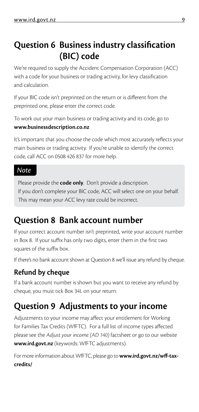# **Question 6 Business industry classification (BIC) code**

We're required to supply the Accident Compensation Corporation (ACC) with a code for your business or trading activity, for levy classification and calculation.

If your BIC code isn't preprinted on the return or is different from the preprinted one, please enter the correct code.

To work out your main business or trading activity and its code, go to **www.businessdescription.co.nz**

It's important that you choose the code which most accurately reflects your main business or trading activity. If you're unable to identify the correct code, call ACC on 0508 426 837 for more help.

#### *Note*

Please provide the **code only**. Don't provide a description. If you don't complete your BIC code, ACC will select one on your behalf. This may mean your ACC levy rate could be incorrect.

# **Question 8 Bank account number**

If your correct account number isn't preprinted, write your account number in Box 8. If your suffix has only two digits, enter them in the first two squares of the suffix box.

If there's no bank account shown at Question 8 we'll issue any refund by cheque.

## **Refund by cheque**

If a bank account number is shown but you want to receive any refund by cheque, you must tick Box 34L on your return.

# **Question 9 Adjustments to your income**

Adjustments to your income may affect your entitlement for Working for Families Tax Credits (WfFTC). For a full list of income types affected please see the *Adjust your income (AD 140)* factsheet or go to our website **www.ird.govt.nz** (keywords: WfFTC adjustments).

For more information about WfFTC, please go to**www.ird.govt.nz/wff-taxcredits/**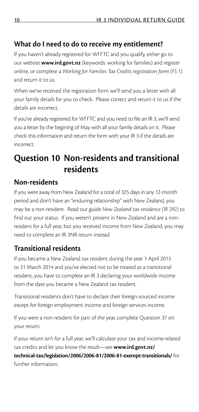#### **What do I need to do to receive my entitlement?**

If you haven't already registered for Wf FTC and you qualify, either go to our website **www.ird.govt.nz** (keywords: working for families) and register online, or complete a *Working for Families Tax Credits registration form (FS 1)* and return it to us.

When we've received the registration form we'll send you a letter with all your family details for you to check. Please correct and return it to us if the details are incorrect.

If you've already registered for Wf FTC and you need to file an IR 3, we'll send you a letter by the begining of May with all your family details on it. Please check this information and return the form with your IR 3 if the details are incorrect.

# **Question 10 Non-residents and transitional residents**

## **Non-residents**

If you were away from New Zealand for a total of 325 days in any 12-month period and don't have an "enduring relationship" with New Zealand, you may be a non-resident. Read our guide *New Zealand tax residence (IR 292)* to find out your status. If you weren't present in New Zealand and are a nonresident for a full year, but you received income from New Zealand, you may need to complete an IR 3NR return instead.

## **Transitional residents**

If you became a New Zealand tax resident during the year 1 April 2013 to 31 March 2014 and you've elected not to be treated as a transitional resident, you have to complete an IR 3 declaring your worldwide income from the date you became a New Zealand tax resident.

Transitional residents don't have to declare their foreign-sourced income except for foreign employment income and foreign services income.

If you were a non-resident for part of the year, complete Question 37 on your return.

If your return isn't for a full year, we'll calculate your tax and income-related tax credits and let you know the result—see **www.ird.govt.nz/ technical-tax/legislation/2006/2006-81/2006-81-exempt-transitionals/** for further information.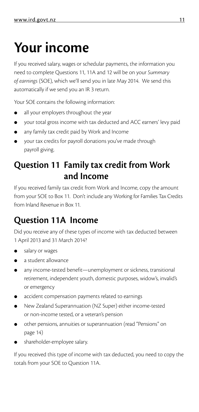# **Your income**

If you received salary, wages or schedular payments, the information you need to complete Questions 11, 11A and 12 will be on your *Summary of earnings* (SOE), which we'll send you in late May 2014. We send this automatically if we send you an IR 3 return.

Your SOE contains the following information:

- all your employers throughout the year
- your total gross income with tax deducted and ACC earners' levy paid
- any family tax credit paid by Work and Income
- your tax credits for payroll donations you've made through payroll giving.

# **Question 11 Family tax credit from Work and Income**

If you received family tax credit from Work and Income, copy the amount from your SOE to Box 11. Don't include any Working for Families Tax Credits from Inland Revenue in Box 11.

# **Question 11A Income**

Did you receive any of these types of income with tax deducted between 1 April 2013 and 31 March 2014?

- salary or wages
- a student allowance
- any income-tested benefit—unemployment or sickness, transitional retirement, independent youth, domestic purposes, widow's, invalid's or emergency
- accident compensation payments related to earnings
- New Zealand Superannuation (NZ Super) either income-tested or non-income tested, or a veteran's pension
- other pensions, annuities or superannuation (read "Pensions" on page 14)
- shareholder-employee salary.

If you received this type of income with tax deducted, you need to copy the totals from your SOE to Question 11A.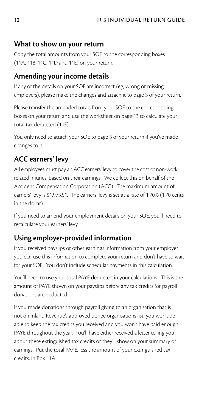#### **What to show on your return**

Copy the total amounts from your SOE to the corresponding boxes (11A, 11B, 11C, 11D and 11E) on your return.

#### **Amending your income details**

If any of the details on your SOE are incorrect (eg, wrong or missing employers), please make the changes and attach it to page 3 of your return.

Please transfer the amended totals from your SOE to the corresponding boxes on your return and use the worksheet on page 13 to calculate your total tax deducted (11E).

You only need to attach your SOE to page 3 of your return if you've made changes to it.

## **ACC earners' levy**

All employees must pay an ACC earners' levy to cover the cost of non-work related injuries, based on their earnings. We collect this on behalf of the Accident Compensation Corporation (ACC). The maximum amount of earners' levy is \$1,973.51. The earners' levy is set at a rate of 1.70% (1.70 cents in the dollar).

If you need to amend your employment details on your SOE, you'll need to recalculate your earners' levy.

#### **Using employer-provided information**

If you received payslips or other earnings information from your employer, you can use this information to complete your return and don't have to wait for your SOE. You don't include schedular payments in this calculation.

You'll need to use your total PAYE deducted in your calculations. This is the amount of PAYE shown on your payslips before any tax credits for payroll donations are deducted.

If you made donations through payroll giving to an organisation that is not on Inland Revenue's approved donee organisations list, you won't be able to keep the tax credits you received and you won't have paid enough PAYE throughout the year. You'll have either received a letter telling you about these extinguished tax credits or they'll show on your summary of earnings. Put the total PAYE, less the amount of your extinguished tax credits, in Box 11A.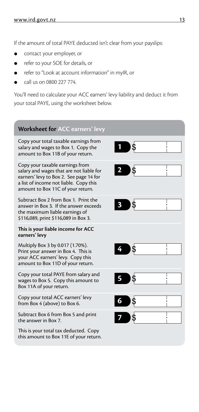If the amount of total PAYE deducted isn't clear from your payslips:

- contact your employer, or
- refer to your SOE for details, or
- refer to "Look at account information" in myIR, or
- call us on 0800 227 774.

You'll need to calculate your ACC earners' levy liability and deduct it from your total PAYE, using the worksheet below.

#### **Worksheet for ACC earners' levy** Copy your total taxable earnings from **1** \$ salary and wages to Box 1. Copy the amount to Box 11B of your return. Copy your taxable earnings from **2** salary and wages that are not liable for earners' levy to Box 2. See page 14 for a list of income not liable. Copy this amount to Box 11C of your return. Subtract Box 2 from Box 1. Print the **3** \$ answer in Box 3. If the answer exceeds the maximum liable earnings of \$116,089, print \$116,089 in Box 3. **This is your liable income for ACC earners' levy** Multiply Box 3 by 0.017 (1.70%). **4** \$ Print your answer in Box 4. This is your ACC earners' levy. Copy this amount to Box 11D of your return. Copy your total PAYE from salary and **5** wages to Box 5. Copy this amount to Box 11A of your return. Copy your total ACC earners' levy **6** from Box 4 (above) to Box 6. Subtract Box 6 from Box 5 and print **7**the answer in Box 7. This is your total tax deducted. Copy this amount to Box 11E of your return.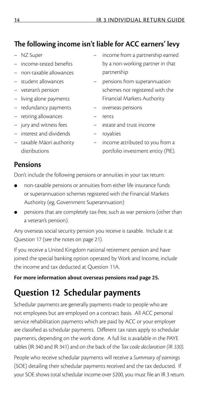## **The following income isn't liable for ACC earners' levy**

- 
- income-tested benefits
- non-taxable allowances
- 
- veteran's pension
- living alone payments
- redundancy payments overseas pensions
- retiring allowances rents
- 
- interest and dividends royalties
- taxable Māori authority distributions
- NZ Super income from a partnership earned by a non-working partner in that partnership
- student allowances pensions from superannuation schemes not registered with the Financial Markets Authority
	-
	-
- jury and witness fees estate and trust income
	- - income attributed to you from a portfolio investment entity (PIE).

#### **Pensions**

Don't include the following pensions or annuities in your tax return:

- non-taxable pensions or annuities from either life insurance funds or superannuation schemes registered with the Financial Markets Authority (eg, Government Superannuation)
- pensions that are completely tax-free, such as war pensions (other than a veteran's pension).

Any overseas social security pension you receive is taxable. Include it at Question 17 (see the notes on page 21).

If you receive a United Kingdom national retirement pension and have joined the special banking option operated by Work and Income, include the income and tax deducted at Question 11A.

**For more information about overseas pensions read page 25.**

# **Question 12 Schedular payments**

Schedular payments are generally payments made to people who are not employees but are employed on a contract basis. All ACC personal service rehabilitation payments which are paid by ACC or your employer are classified as schedular payments. Different tax rates apply to schedular payments, depending on the work done. A full list is available in the PAYE tables (IR 340 and IR 341) and on the back of the *Tax code declaration (IR 330).*

People who receive schedular payments will receive a *Summary of earnings* (SOE) detailing their schedular payments received and the tax deducted. If your SOE shows total schedular income over \$200, you must file an IR 3 return.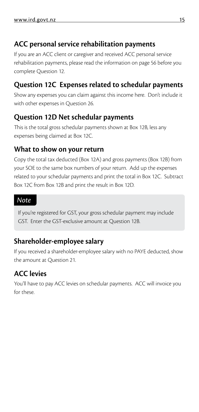## **ACC personal service rehabilitation payments**

If you are an ACC client or caregiver and received ACC personal service rehabilitation payments, please read the information on page 56 before you complete Question 12.

## **Question 12C Expenses related to schedular payments**

Show any expenses you can claim against this income here. Don't include it with other expenses in Question 26.

### **Question 12D Net schedular payments**

This is the total gross schedular payments shown at Box 12B, less any expenses being claimed at Box 12C.

#### **What to show on your return**

Copy the total tax deducted (Box 12A) and gross payments (Box 12B) from your SOE to the same box numbers of your return. Add up the expenses related to your schedular payments and print the total in Box 12C. Subtract Box 12C from Box 12B and print the result in Box 12D.

#### *Note*

If you're registered for GST, your gross schedular payment may include GST. Enter the GST-exclusive amount at Question 12B.

## **Shareholder-employee salary**

If you received a shareholder-employee salary with no PAYE deducted, show the amount at Question 21.

## **ACC levies**

You'll have to pay ACC levies on schedular payments. ACC will invoice you for these.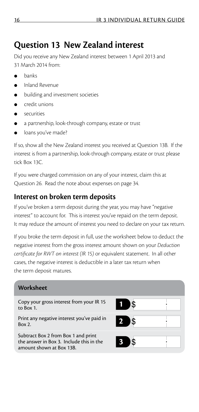## **Question 13 New Zealand interest**

Did you receive any New Zealand interest between 1 April 2013 and 31 March 2014 from:

- banks
- Inland Revenue
- building and investment societies
- **credit unions**
- securities
- a partnership, look-through company, estate or trust
- loans you've made?

If so, show all the New Zealand interest you received at Question 13B. If the interest is from a partnership, look-through company, estate or trust please tick Box 13C.

If you were charged commission on any of your interest, claim this at Question 26. Read the note about expenses on page 34.

### **Interest on broken term deposits**

If you've broken a term deposit during the year, you may have "negative interest" to account for. This is interest you've repaid on the term deposit. It may reduce the amount of interest you need to declare on your tax return.

If you broke the term deposit in full, use the worksheet below to deduct the negative interest from the gross interest amount shown on your *Deduction certificate for RWT on interest (IR 15)* or equivalent statement. In all other cases, the negative interest is deductible in a later tax return when the term deposit matures.

#### **Worksheet**

Copy your gross interest from your IR 15 to Box 1.

Print any negative interest you've paid in Box 2.

Subtract Box 2 from Box 1 and print the answer in Box 3. Include this in the amount shown at Box 13B.

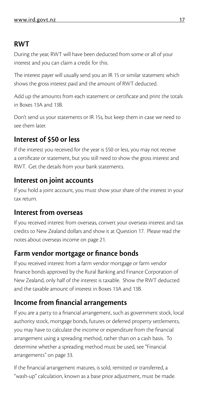### **RWT**

During the year, RWT will have been deducted from some or all of your interest and you can claim a credit for this.

The interest payer will usually send you an IR 15 or similar statement which shows the gross interest paid and the amount of RWT deducted.

Add up the amounts from each statement or certificate and print the totals in Boxes 13A and 13B.

Don't send us your statements or IR 15s, but keep them in case we need to see them later.

#### **Interest of \$50 or less**

If the interest you received for the year is \$50 or less, you may not receive a certificate or statement, but you still need to show the gross interest and RWT. Get the details from your bank statements.

#### **Interest on joint accounts**

If you hold a joint account, you must show your share of the interest in your tax return.

#### **Interest from overseas**

If you received interest from overseas, convert your overseas interest and tax credits to New Zealand dollars and show it at Question 17. Please read the notes about overseas income on page 21.

#### **Farm vendor mortgage or finance bonds**

If you received interest from a farm vendor mortgage or farm vendor finance bonds approved by the Rural Banking and Finance Corporation of New Zealand, only half of the interest is taxable. Show the RWT deducted and the taxable amount of interest in Boxes 13A and 13B.

### **Income from financial arrangements**

If you are a party to a financial arrangement, such as government stock, local authority stock, mortgage bonds, futures or deferred property settlements, you may have to calculate the income or expenditure from the financial arrangement using a spreading method, rather than on a cash basis. To determine whether a spreading method must be used, see "Financial arrangements" on page 33.

If the financial arrangement matures, is sold, remitted or transferred, a "wash-up" calculation, known as a base price adjustment, must be made.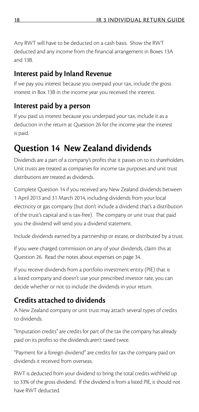Any RWT will have to be deducted on a cash basis. Show the RWT deducted and any income from the financial arrangement in Boxes 13A and 13B.

#### **Interest paid by Inland Revenue**

If we pay you interest because you overpaid your tax, include the gross interest in Box 13B in the income year you received the interest.

## **Interest paid by a person**

If you paid us interest because you underpaid your tax, include it as a deduction in the return at Question 26 for the income year the interest is paid.

# **Question 14 New Zealand dividends**

Dividends are a part of a company's profits that it passes on to its shareholders. Unit trusts are treated as companies for income tax purposes and unit trust distributions are treated as dividends.

Complete Question 14 if you received any New Zealand dividends between 1 April 2013 and 31 March 2014, including dividends from your local electricity or gas company (but don't include a dividend that's a distribution of the trust's capital and is tax-free). The company or unit trust that paid you the dividend will send you a dividend statement.

Include dividends earned by a partnership or estate, or distributed by a trust.

If you were charged commission on any of your dividends, claim this at Question 26. Read the notes about expenses on page 34.

If you receive dividends from a portfolio investment entity (PIE) that is a listed company and doesn't use your prescribed investor rate, you can decide whether or not to include the dividends in your return.

## **Credits attached to dividends**

A New Zealand company or unit trust may attach several types of credits to dividends.

"Imputation credits" are credits for part of the tax the company has already paid on its profits so the dividends aren't taxed twice.

"Payment for a foreign dividend" are credits for tax the company paid on dividends it received from overseas.

RWT is deducted from your dividend to bring the total credits withheld up to 33% of the gross dividend. If the dividend is from a listed PIE, it should not have RWT deducted.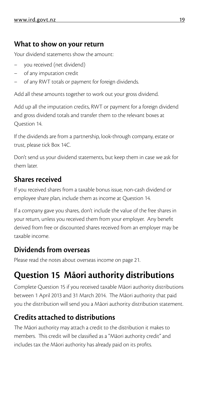#### **What to show on your return**

Your dividend statements show the amount:

- you received (net dividend)
- of any imputation credit
- of any RWT totals or payment for foreign dividends.

Add all these amounts together to work out your gross dividend.

Add up all the imputation credits, RWT or payment for a foreign dividend and gross dividend totals and transfer them to the relevant boxes at Question 14.

If the dividends are from a partnership, look-through company, estate or trust, please tick Box 14C.

Don't send us your dividend statements, but keep them in case we ask for them later.

### **Shares received**

If you received shares from a taxable bonus issue, non-cash dividend or employee share plan, include them as income at Question 14.

If a company gave you shares, don't include the value of the free shares in your return, unless you received them from your employer. Any benefit derived from free or discounted shares received from an employer may be taxable income.

### **Dividends from overseas**

Please read the notes about overseas income on page 21.

# **Question 15 Māori authority distributions**

Complete Question 15 if you received taxable Māori authority distributions between 1 April 2013 and 31 March 2014. The Māori authority that paid you the distribution will send you a Māori authority distribution statement.

## **Credits attached to distributions**

The Māori authority may attach a credit to the distribution it makes to members. This credit will be classified as a "Māori authority credit" and includes tax the Māori authority has already paid on its profits.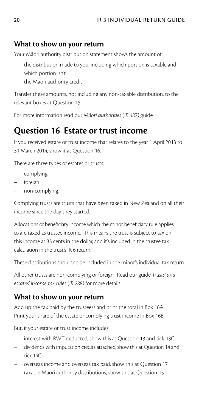#### **What to show on your return**

Your Māori authority distribution statement shows the amount of:

- the distribution made to you, including which portion is taxable and which portion isn't
- the Māori authority credit.

Transfer these amounts, not including any non-taxable distribution, to the relevant boxes at Question 15.

For more information read our *Māori authorities (IR 487)* guide.

## **Question 16 Estate or trust income**

If you received estate or trust income that relates to the year 1 April 2013 to 31 March 2014, show it at Question 16.

There are three types of estates or trusts:

- complying
- foreign
- non-complying.

Complying trusts are trusts that have been taxed in New Zealand on all their income since the day they started.

Allocations of beneficiary income which the minor beneficiary rule applies to are taxed as trustee income. This means the trust is subject to tax on this income at 33 cents in the dollar, and it's included in the trustee tax calculation in the trust's IR 6 return.

These distributions shouldn't be included in the minor's individual tax return.

All other trusts are non-complying or foreign. Read our guide *Trusts' and estates' income tax rules (IR 288)* for more details.

#### **What to show on your return**

Add up the tax paid by the trustee/s and print the total in Box 16A. Print your share of the estate or complying trust income in Box 16B.

But, if your estate or trust income includes:

- interest with RWT deducted, show this at Question 13 and tick 13C.
- dividends with imputation credits attached, show this at Question 14 and tick 14C.
- overseas income and overseas tax paid, show this at Question 17
- taxable Māori authority distributions, show this at Question 15.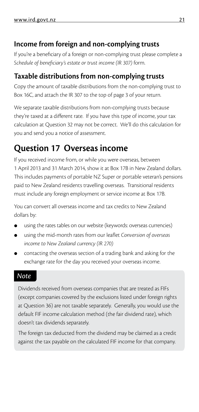## **Income from foreign and non-complying trusts**

If you're a beneficiary of a foreign or non-complying trust please complete a *Schedule of beneficiary's estate or trust income (IR 307)* form.

#### **Taxable distributions from non-complying trusts**

Copy the amount of taxable distributions from the non-complying trust to Box 16C, and attach the IR 307 to the top of page 3 of your return.

We separate taxable distributions from non-complying trusts because they're taxed at a different rate. If you have this type of income, your tax calculation at Question 32 may not be correct. We'll do this calculation for you and send you a notice of assessment.

# **Question 17 Overseas income**

If you received income from, or while you were overseas, between 1 April 2013 and 31 March 2014, show it at Box 17B in New Zealand dollars. This includes payments of portable NZ Super or portable veteran's pensions paid to New Zealand residents travelling overseas. Transitional residents must include any foreign employment or service income at Box 17B.

You can convert all overseas income and tax credits to New Zealand dollars by:

- using the rates tables on our website (keywords: overseas currencies)
- using the mid-month rates from our leaflet *Conversion of overseas income to New Zealand currency (IR 270)*
- contacting the overseas section of a trading bank and asking for the exchange rate for the day you received your overseas income.

#### *Note*

Dividends received from overseas companies that are treated as FIFs (except companies covered by the exclusions listed under foreign rights at Question 36) are not taxable separately. Generally, you would use the default FIF income calculation method (the fair dividend rate), which doesn't tax dividends separately.

The foreign tax deducted from the dividend may be claimed as a credit against the tax payable on the calculated FIF income for that company.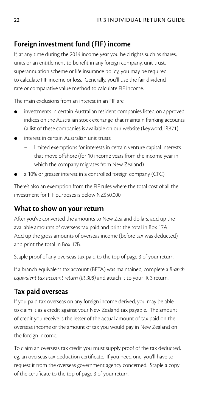## **Foreign investment fund (FIF) income**

If, at any time during the 2014 income year you held rights such as shares, units or an entitlement to benefit in any foreign company, unit trust, superannuation scheme or life insurance policy, you may be required to calculate FIF income or loss. Generally, you'll use the fair dividend rate or comparative value method to calculate FIF income.

The main exclusions from an interest in an FIF are:

- investments in certain Australian resident companies listed on approved indices on the Australian stock exchange, that maintain franking accounts (a list of these companies is available on our website (keyword: IR871)
- interest in certain Australian unit trusts
	- limited exemptions for interests in certain venture capital interests that move offshore (for 10 income years from the income year in which the company migrates from New Zealand)
- a 10% or greater interest in a controlled foreign company (CFC).

There's also an exemption from the FIF rules where the total cost of all the investment for FIF purposes is below NZ\$50,000.

#### **What to show on your return**

After you've converted the amounts to New Zealand dollars, add up the available amounts of overseas tax paid and print the total in Box 17A. Add up the gross amounts of overseas income (before tax was deducted) and print the total in Box 17B.

Staple proof of any overseas tax paid to the top of page 3 of your return.

If a branch equivalent tax account (BETA) was maintained, complete a *Branch equivalent tax account return (IR 308)* and attach it to your IR 3 return.

### **Tax paid overseas**

If you paid tax overseas on any foreign income derived, you may be able to claim it as a credit against your New Zealand tax payable. The amount of credit you receive is the lesser of the actual amount of tax paid on the overseas income or the amount of tax you would pay in New Zealand on the foreign income.

To claim an overseas tax credit you must supply proof of the tax deducted, eg, an overseas tax deduction certificate. If you need one, you'll have to request it from the overseas government agency concerned. Staple a copy of the certificate to the top of page 3 of your return.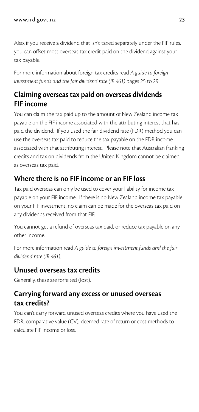Also, if you receive a dividend that isn't taxed separately under the FIF rules, you can offset most overseas tax credit paid on the dividend against your tax payable.

For more information about foreign tax credits read *A guide to foreign investment funds and the fair dividend rate (IR 461)* pages 25 to 29.

## **Claiming overseas tax paid on overseas dividends FIF income**

You can claim the tax paid up to the amount of New Zealand income tax payable on the FIF income associated with the attributing interest that has paid the dividend. If you used the fair dividend rate (FDR) method you can use the overseas tax paid to reduce the tax payable on the FDR income associated with that attributing interest. Please note that Australian franking credits and tax on dividends from the United Kingdom cannot be claimed as overseas tax paid.

#### **Where there is no FIF income or an FIF loss**

Tax paid overseas can only be used to cover your liability for income tax payable on your FIF income. If there is no New Zealand income tax payable on your FIF investment, no claim can be made for the overseas tax paid on any dividends received from that FIF.

You cannot get a refund of overseas tax paid, or reduce tax payable on any other income.

For more information read *A guide to foreign investment funds and the fair dividend rate (IR 461)*.

#### **Unused overseas tax credits**

Generally, these are forfeited (lost).

#### **Carrying forward any excess or unused overseas tax credits?**

You can't carry forward unused overseas credits where you have used the FDR, comparative value (CV), deemed rate of return or cost methods to calculate FIF income or loss.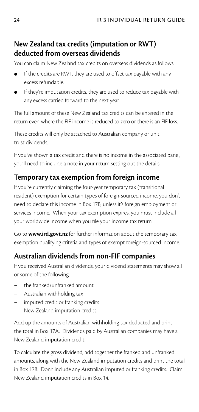### **New Zealand tax credits (imputation or RWT) deducted from overseas dividends**

You can claim New Zealand tax credits on overseas dividends as follows:

- If the credits are RWT, they are used to offset tax payable with any excess refundable.
- If they're imputation credits, they are used to reduce tax payable with any excess carried forward to the next year.

The full amount of these New Zealand tax credits can be entered in the return even where the FIF income is reduced to zero or there is an FIF loss.

These credits will only be attached to Australian company or unit trust dividends.

If you've shown a tax credit and there is no income in the associated panel, you'll need to include a note in your return setting out the details.

### **Temporary tax exemption from foreign income**

If you're currently claiming the four-year temporary tax (transitional resident) exemption for certain types of foreign-sourced income, you don't need to declare this income in Box 17B, unless it's foreign employment or services income. When your tax exemption expires, you must include all your worldwide income when you file your income tax return.

Go to **www.ird.govt.nz** for further information about the temporary tax exemption qualifying criteria and types of exempt foreign-sourced income.

### **Australian dividends from non-FIF companies**

If you received Australian dividends, your dividend statements may show all or some of the following:

- the franked/unfranked amount
- Australian withholding tax
- imputed credit or franking credits
- New Zealand imputation credits.

Add up the amounts of Australian withholding tax deducted and print the total in Box 17A. Dividends paid by Australian companies may have a New Zealand imputation credit.

To calculate the gross dividend, add together the franked and unfranked amounts, along with the New Zealand imputation credits and print the total in Box 17B. Don't include any Australian imputed or franking credits. Claim New Zealand imputation credits in Box 14.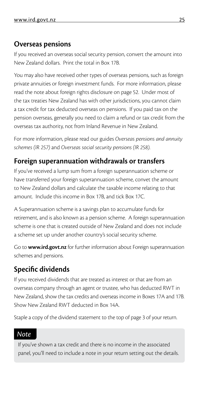#### **Overseas pensions**

If you received an overseas social security pension, convert the amount into New Zealand dollars. Print the total in Box 17B.

You may also have received other types of overseas pensions, such as foreign private annuities or foreign investment funds. For more information, please read the note about foreign rights disclosure on page 52. Under most of the tax treaties New Zealand has with other jurisdictions, you cannot claim a tax credit for tax deducted overseas on pensions. If you paid tax on the pension overseas, generally you need to claim a refund or tax credit from the overseas tax authority, not from Inland Revenue in New Zealand.

For more information, please read our guides *Overseas pensions and annuity schemes (IR 257)* and *Overseas social security pensions (IR 258)*.

#### **Foreign superannuation withdrawals or transfers**

If you've received a lump sum from a foreign superannuation scheme or have transferred your foreign superannuation scheme, convet the amount to New Zealand dollars and calculate the taxable income relating to that amount. Include this income in Box 17B, and tick Box 17C.

A Superannuation scheme is a savings plan to accumulate funds for retirement, and is also known as a pension scheme. A foreign superannuation scheme is one that is created outside of New Zealand and does not include a scheme set up under another country's social security scheme.

Go to **www.ird.govt.nz** for further information about Foreign superannuation schemes and pensions.

### **Specific dividends**

If you received dividends that are treated as interest or that are from an overseas company through an agent or trustee, who has deducted RWT in New Zealand, show the tax credits and overseas income in Boxes 17A and 17B. Show New Zealand RWT deducted in Box 14A.

Staple a copy of the dividend statement to the top of page 3 of your return.

#### *Note*

If you've shown a tax credit and there is no income in the associated panel, you'll need to include a note in your return setting out the details.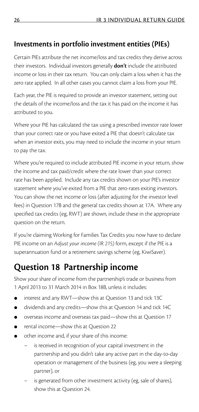### **Investments in portfolio investment entities (PIEs)**

Certain PIEs attribute the net income/loss and tax credits they derive across their investors. Individual investors generally **don't** include the attributed income or loss in their tax return. You can only claim a loss when it has the zero rate applied. In all other cases you cannot claim a loss from your PIE.

Each year, the PIE is required to provide an investor statement, setting out the details of the income/loss and the tax it has paid on the income it has attributed to you.

Where your PIE has calculated the tax using a prescribed investor rate lower than your correct rate or you have exited a PIE that doesn't calculate tax when an investor exits, you may need to include the income in your return to pay the tax.

Where you're required to include attributed PIE income in your return, show the income and tax paid/credit where the rate lower than your correct rate has been applied. Include any tax credits shown on your PIE's investor statement where you've exited from a PIE that zero-rates exiting investors. You can show the net income or loss (after adjusting for the investor level fees) in Question 17B and the general tax credits shown at 17A. Where any specified tax credits (eg, RWT) are shown, include these in the appropriate question on the return.

If you're claiming Working for Families Tax Credits you now have to declare PIE income on an *Adjust your income (IR 215)* form, except if the PIE is a superannuation fund or a retirement savings scheme (eg, KiwiSaver).

## **Question 18 Partnership income**

Show your share of income from the partnership's trade or business from 1 April 2013 to 31 March 2014 in Box 18B, unless it includes:

- interest and any RWT—show this at Question 13 and tick 13C
- dividends and any credits—show this at Question 14 and tick 14C
- overseas income and overseas tax paid—show this at Question 17
- rental income—show this at Question 22
- other income and, if your share of this income:
	- is received in recognition of your capital investment in the partnership and you didn't take any active part in the day-to-day operation or management of the business (eg, you were a sleeping partner), or
	- is generated from other investment activity (eg, sale of shares), show this at Question 24.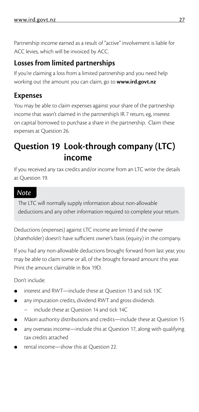Partnership income earned as a result of "active" involvement is liable for ACC levies, which will be invoiced by ACC.

#### **Losses from limited partnerships**

If you're claiming a loss from a limited partnership and you need help working out the amount you can claim, go to **www.ird.govt.nz**

#### **Expenses**

You may be able to claim expenses against your share of the partnership income that wasn't claimed in the partnership's IR 7 return, eg, interest on capital borrowed to purchase a share in the partnership. Claim these expenses at Question 26.

## **Question 19 Look-through company (LTC) income**

If you received any tax credits and/or income from an LTC write the details at Question 19.

#### *Note*

The LTC will normally supply information about non-allowable deductions and any other information required to complete your return.

Deductions (expenses) against LTC income are limited if the owner (shareholder) doesn't have sufficient owner's basis (equity) in the company.

If you had any non-allowable deductions brought forward from last year, you may be able to claim some or all, of the brought forward amount this year. Print the amount claimable in Box 19D.

Don't include:

- interest and RWT—include these at Question 13 and tick 13C
- any imputation credits, dividend RWT and gross dividends
	- include these at Question 14 and tick 14C
- Māori authority distributions and credits—include these at Question 15
- any overseas income—include this at Question 17, along with qualifying tax credits attached
- rental income—show this at Question 22.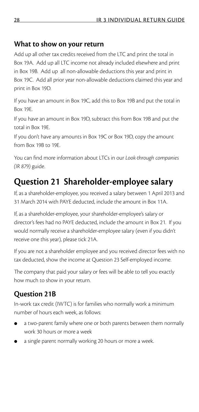#### **What to show on your return**

Add up all other tax credits received from the LTC and print the total in Box 19A. Add up all LTC income not already included elsewhere and print in Box 19B. Add up all non-allowable deductions this year and print in Box 19C. Add all prior year non-allowable deductions claimed this year and print in Box 19D.

If you have an amount in Box 19C, add this to Box 19B and put the total in Box 19E.

If you have an amount in Box 19D, subtract this from Box 19B and put the total in Box 19E.

If you don't have any amounts in Box 19C or Box 19D, copy the amount from Box 19B to 19E.

You can find more information about LTCs in our *Look-through companies (IR 879)* guide.

# **Question 21 Shareholder-employee salary**

If, as a shareholder-employee, you received a salary between 1 April 2013 and 31 March 2014 with PAYE deducted, include the amount in Box 11A.

If, as a shareholder-employee, your shareholder-employee's salary or director's fees had no PAYE deducted, include the amount in Box 21. If you would normally receive a shareholder-employee salary (even if you didn't receive one this year), please tick 21A.

If you are not a shareholder employee and you received director fees with no tax deducted, show the income at Question 23 Self-employed income.

The company that paid your salary or fees will be able to tell you exactly how much to show in your return.

### **Question 21B**

In-work tax credit (IWTC) is for families who normally work a minimum number of hours each week, as follows:

- a two-parent family where one or both parents between them normally work 30 hours or more a week
- a single parent normally working 20 hours or more a week.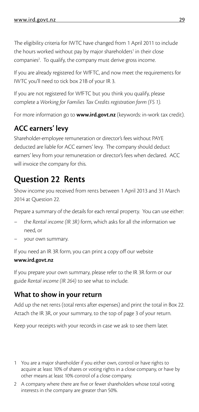The eligibility criteria for IWTC have changed from 1 April 2011 to include the hours worked without pay by major shareholders<sup>1</sup> in their close companies<sup>2</sup>. To qualify, the company must derive gross income.

If you are already registered for WfFTC, and now meet the requirements for IWTC you'll need to tick box 21B of your IR 3.

If you are not registered for WfFTC but you think you qualify, please complete a *Working for Families Tax Credits registration form (FS 1)*.

For more information go to **www.ird.govt.nz** (keywords: in-work tax credit).

## **ACC earners' levy**

Shareholder-employee remuneration or director's fees without PAYE deducted are liable for ACC earners' levy. The company should deduct earners' levy from your remuneration or director's fees when declared. ACC will invoice the company for this.

# **Question 22 Rents**

Show income you received from rents between 1 April 2013 and 31 March 2014 at Question 22.

Prepare a summary of the details for each rental property. You can use either:

- the *Rental income (IR 3R)* form, which asks for all the information we need, or
- your own summary.

If you need an IR 3R form, you can print a copy off our website

#### **www.ird.govt.nz**

If you prepare your own summary, please refer to the IR 3R form or our guide *Rental income (IR 264)* to see what to include.

#### **What to show in your return**

Add up the net rents (total rents after expenses) and print the total in Box 22. Attach the IR 3R, or your summary, to the top of page 3 of your return.

Keep your receipts with your records in case we ask to see them later.

- 1 You are a major shareholder if you either own, control or have rights to acquire at least 10% of shares or voting rights in a close company, or have by other means at least 10% control of a close company.
- 2 A company where there are five or fewer shareholders whose total voting interests in the company are greater than 50%.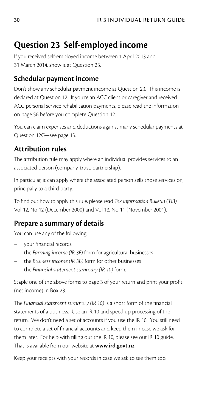# **Question 23 Self-employed income**

If you received self-employed income between 1 April 2013 and 31 March 2014, show it at Question 23.

#### **Schedular payment income**

Don't show any schedular payment income at Question 23. This income is declared at Question 12. If you're an ACC client or caregiver and received ACC personal service rehabilitation payments, please read the information on page 56 before you complete Question 12.

You can claim expenses and deductions against many schedular payments at Question 12C—see page 15.

#### **Attribution rules**

The attribution rule may apply where an individual provides services to an associated person (company, trust, partnership).

In particular, it can apply where the associated person sells those services on, principally to a third party.

To find out how to apply this rule, please read *Tax Information Bulletin (TIB)* Vol 12, No 12 (December 2000) and Vol 13, No 11 (November 2001).

#### **Prepare a summary of details**

You can use any of the following:

- your financial records
- the *Farming income (IR 3F)* form for agricultural businesses
- the *Business income (IR 3B)* form for other businesses
- the *Financial statement summary (IR 10)* form.

Staple one of the above forms to page 3 of your return and print your profit (net income) in Box 23.

The *Financial statement summary (IR 10)* is a short form of the financial statements of a business. Use an IR 10 and speed up processing of the return. We don't need a set of accounts if you use the IR 10. You still need to complete a set of financial accounts and keep them in case we ask for them later. For help with filling out the IR 10, please see out IR 10 guide. That is available from our website at **www.ird.govt.nz**

Keep your receipts with your records in case we ask to see them too.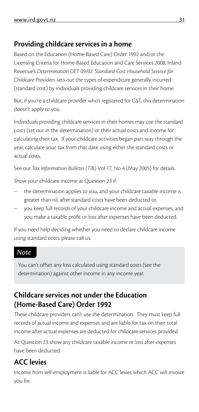## **Providing childcare services in a home**

Based on the Education (Home-Based Care) Order 1992 and/or the Licensing Criteria for Home-Based Education and Care Services 2008, Inland Revenue's *Determination DET 09/02: Standard-Cost Household Service for Childcare Providers* sets out the types of expenditure generally incurred (standard cost) by individuals providing childcare services in their home.

But, if you're a childcare provider who's registered for GST, this determination doesn't apply to you.

Individuals providing childcare services in their homes may use the standard costs (set out in the determination) or their actual costs and income for calculating their tax. If your childcare activities began part-way through the year, calculate your tax from that date using either the standard costs or actual costs.

See our *Tax Information Bulletin (TIB)* Vol 17, No 4 (May 2005) for details.

Show your childcare income at Question 23 if:

- the determination applies to you, and your childcare taxable income is greater than nil, after standard costs have been deducted or,
- you keep full records of your childcare income and actual expenses, and you make a taxable profit or loss after expenses have been deducted.

If you need help deciding whether you need to declare childcare income using standard costs, please call us.

#### *Note*

You can't offset any loss calculated using standard costs (see the determination) against other income in any income year.

#### **Childcare services not under the Education (Home-Based Care) Order 1992**

These childcare providers can't use the determination. They must keep full records of actual income and expenses and are liable for tax on their total income after actual expenses are deducted for childcare services provided.

At Question 23 show any childcare taxable income or loss after expenses have been deducted.

## **ACC levies**

Income from self-employment is liable for ACC levies which ACC will invoice you for.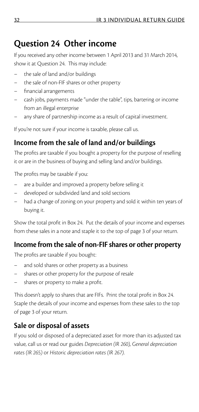## **Question 24 Other income**

If you received any other income between 1 April 2013 and 31 March 2014, show it at Question 24. This may include:

- the sale of land and/or buildings
- the sale of non-FIF shares or other property
- financial arrangements
- cash jobs, payments made "under the table", tips, bartering or income from an illegal enterprise
- any share of partnership income as a result of capital investment.

If you're not sure if your income is taxable, please call us.

## **Income from the sale of land and/or buildings**

The profits are taxable if you bought a property for the purpose of reselling it or are in the business of buying and selling land and/or buildings.

The profits may be taxable if you:

- are a builder and improved a property before selling it
- developed or subdivided land and sold sections
- had a change of zoning on your property and sold it within ten years of buying it.

Show the total profit in Box 24. Put the details of your income and expenses from these sales in a note and staple it to the top of page 3 of your return.

### **Income from the sale of non-FIF shares or other property**

The profits are taxable if you bought:

- and sold shares or other property as a business
- shares or other property for the purpose of resale
- shares or property to make a profit.

This doesn't apply to shares that are FIFs. Print the total profit in Box 24. Staple the details of your income and expenses from these sales to the top of page 3 of your return.

## **Sale or disposal of assets**

If you sold or disposed of a depreciated asset for more than its adjusted tax value, call us or read our guides *Depreciation (IR 260), General depreciation rates (IR 265)* or *Historic depreciation rates (IR 267)*.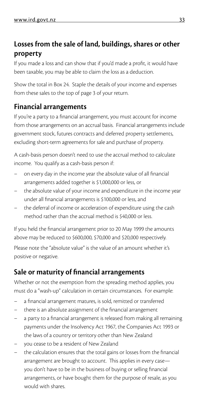## **Losses from the sale of land, buildings, shares or other property**

If you made a loss and can show that if you'd made a profit, it would have been taxable, you may be able to claim the loss as a deduction.

Show the total in Box 24. Staple the details of your income and expenses from these sales to the top of page 3 of your return.

#### **Financial arrangements**

If you're a party to a financial arrangement, you must account for income from those arrangements on an accrual basis. Financial arrangements include government stock, futures contracts and deferred property settlements, excluding short-term agreements for sale and purchase of property.

A cash-basis person doesn't need to use the accrual method to calculate income. You qualify as a cash-basis person if:

- on every day in the income year the absolute value of all financial arrangements added together is \$1,000,000 or less, or
- the absolute value of your income and expenditure in the income year under all financial arrangements is \$100,000 or less, and
- the deferral of income or acceleration of expenditure using the cash method rather than the accrual method is \$40,000 or less.

If you held the financial arrangement prior to 20 May 1999 the amounts above may be reduced to \$600,000, \$70,000 and \$20,000 respectively.

Please note the "absolute value" is the value of an amount whether it's positive or negative.

### **Sale or maturity of financial arrangements**

Whether or not the exemption from the spreading method applies, you must do a "wash-up" calculation in certain circumstances. For example:

- a financial arrangement matures, is sold, remitted or transferred
- there is an absolute assignment of the financial arrangement
- a party to a financial arrangement is released from making all remaining payments under the Insolvency Act 1967, the Companies Act 1993 or the laws of a country or territory other than New Zealand
- you cease to be a resident of New Zealand
- the calculation ensures that the total gains or losses from the financial arrangement are brought to account. This applies in every case you don't have to be in the business of buying or selling financial arrangements, or have bought them for the purpose of resale, as you would with shares.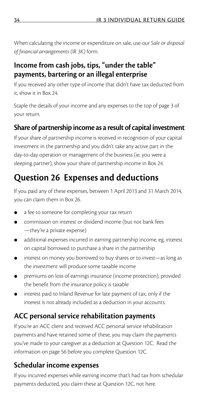When calculating the income or expenditure on sale, use our *Sale or disposal of financial arrangements (IR 3K)* form.

## **Income from cash jobs, tips, "under the table" payments, bartering or an illegal enterprise**

If you received any other type of income that didn't have tax deducted from it, show it in Box 24.

Staple the details of your income and any expenses to the top of page 3 of your return.

### **Share of partnership income as a result of capital investment**

If your share of partnership income is received in recognition of your capital investment in the partnership and you didn't take any active part in the day-to-day operation or management of the business (ie, you were a sleeping partner), show your share of partnership income in Box 24.

# **Question 26 Expenses and deductions**

If you paid any of these expenses, between 1 April 2013 and 31 March 2014, you can claim them in Box 26.

- a fee to someone for completing your tax return
- commission on interest or dividend income (but not bank fees —they're a private expense)
- additional expenses incurred in earning partnership income, eg, interest on capital borrowed to purchase a share in the partnership
- interest on money you borrowed to buy shares or to invest—as long as the investment will produce some taxable income
- premiums on loss of earnings insurance (income protection), provided the benefit from the insurance policy is taxable
- interest paid to Inland Revenue for late payment of tax, only if the interest is not already included as a deduction in your accounts.

### **ACC personal service rehabilitation payments**

If you're an ACC client and received ACC personal service rehabilitation payments and have retained some of these, you may claim the payments you've made to your caregiver as a deduction at Question 12C. Read the information on page 56 before you complete Question 12C.

#### **Schedular income expenses**

If you incurred expenses while earning income that's had tax from schedular payments deducted, you claim these at Question 12C, not here.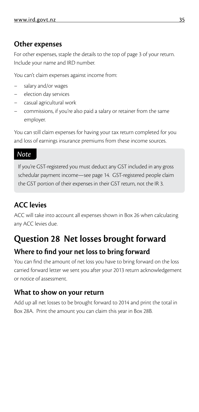#### **Other expenses**

For other expenses, staple the details to the top of page 3 of your return. Include your name and IRD number.

You can't claim expenses against income from:

- salary and/or wages
- election day services
- casual agricultural work
- commissions, if you're also paid a salary or retainer from the same employer.

You can still claim expenses for having your tax return completed for you and loss of earnings insurance premiums from these income sources.

#### *Note*

If you're GST-registered you must deduct any GST included in any gross schedular payment income—see page 14. GST-registered people claim the GST portion of their expenses in their GST return, not the IR 3.

## **ACC levies**

ACC will take into account all expenses shown in Box 26 when calculating any ACC levies due.

# **Question 28 Net losses brought forward Where to find your net loss to bring forward**

You can find the amount of net loss you have to bring forward on the loss carried forward letter we sent you after your 2013 return acknowledgement or notice of assessment.

#### **What to show on your return**

Add up all net losses to be brought forward to 2014 and print the total in Box 28A. Print the amount you can claim this year in Box 28B.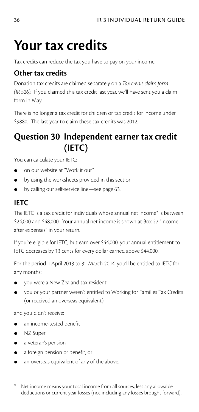# **Your tax credits**

Tax credits can reduce the tax you have to pay on your income.

## **Other tax credits**

Donation tax credits are claimed separately on a *Tax credit claim form (IR 526).* If you claimed this tax credit last year, we'll have sent you a claim form in May.

There is no longer a tax credit for children or tax credit for income under \$9880. The last year to claim these tax credits was 2012.

# **Question 30 Independent earner tax credit (IETC)**

You can calculate your IETC:

- on our website at "Work it out"
- **•** by using the worksheets provided in this section
- by calling our self-service line—see page 63.

## **IETC**

The IETC is a tax credit for individuals whose annual net income\* is between \$24,000 and \$48,000. Your annual net income is shown at Box 27 "Income after expenses" in your return.

If you're eligible for IETC, but earn over \$44,000, your annual entitlement to IETC decreases by 13 cents for every dollar earned above \$44,000.

For the period 1 April 2013 to 31 March 2014, you'll be entitled to IETC for any months:

- you were a New Zealand tax resident
- you or your partner weren't entitled to Working for Families Tax Credits (or received an overseas equivalent)

and you didn't receive:

- an income-tested benefit
- NZ Super
- a veteran's pension
- a foreign pension or benefit, or
- an overseas equivalent of any of the above.
- Net income means your total income from all sources, less any allowable deductions or current year losses (not including any losses brought forward).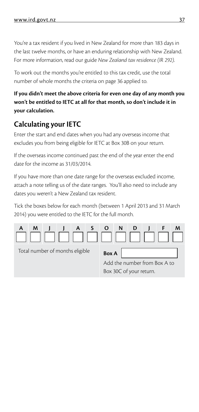You're a tax resident if you lived in New Zealand for more than 183 days in the last twelve months, or have an enduring relationship with New Zealand. For more information, read our guide *New Zealand tax residence (IR 292)*.

To work out the months you're entitled to this tax credit, use the total number of whole months the criteria on page 36 applied to.

#### **If you didn't meet the above criteria for even one day of any month you won't be entitled to IETC at all for that month, so don't include it in your calculation.**

## **Calculating your IETC**

Enter the start and end dates when you had any overseas income that excludes you from being eligible for IETC at Box 30B on your return.

If the overseas income continued past the end of the year enter the end date for the income as 31/03/2014.

If you have more than one date range for the overseas excluded income, attach a note telling us of the date ranges. You'll also need to include any dates you weren't a New Zealand tax resident.

Tick the boxes below for each month (between 1 April 2013 and 31 March 2014) you were entitled to the IETC for the full month.

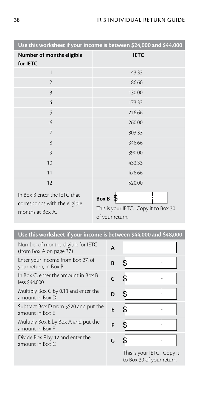| Use this worksheet if your income is between \$24,000 and \$44,000 |              |  |
|--------------------------------------------------------------------|--------------|--|
| Number of months eligible<br>for IETC                              | <b>IETC</b>  |  |
| $\mathbf{1}$                                                       | 43.33        |  |
| $\mathfrak{D}$                                                     | 86.66        |  |
| $\overline{3}$                                                     | 130.00       |  |
| $\overline{4}$                                                     | 173.33       |  |
| 5                                                                  | 216.66       |  |
| 6                                                                  | 260.00       |  |
| $\overline{7}$                                                     | 303.33       |  |
| 8                                                                  | 346.66       |  |
| $\circ$                                                            | 390.00       |  |
| 10                                                                 | 433.33       |  |
| 11                                                                 | 476.66       |  |
| 12                                                                 | 520.00       |  |
| In Box B enter the IETC that<br>corresponds with the eligible      | <b>Box B</b> |  |

In Box B enter the IETC that corresponds with the eligible months at Box A.

This is your IETC. Copy it to Box 30 of your return.

| Use this worksheet if your income is between \$44,000 and \$48,000 |   |                                                         |
|--------------------------------------------------------------------|---|---------------------------------------------------------|
| Number of months eligible for IETC<br>(from Box A on page 37)      | A |                                                         |
| Enter your income from Box 27, of<br>your return, in Box B         | B |                                                         |
| In Box C, enter the amount in Box B<br>less \$44,000               |   |                                                         |
| Multiply Box C by 0.13 and enter the<br>amount in Box D            | D |                                                         |
| Subtract Box D from \$520 and put the<br>amount in Box E           | E |                                                         |
| Multiply Box E by Box A and put the<br>amount in Box F             | F |                                                         |
| Divide Box F by 12 and enter the<br>amount in Box G                | G |                                                         |
|                                                                    |   | This is your IETC. Copy it<br>to Box 30 of your return. |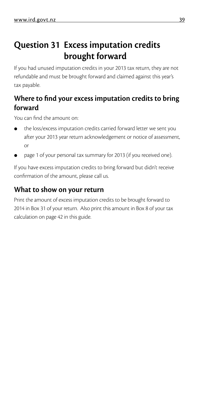# **Question 31 Excess imputation credits brought forward**

If you had unused imputation credits in your 2013 tax return, they are not refundable and must be brought forward and claimed against this year's tax payable.

### **Where to find your excess imputation credits to bring forward**

You can find the amount on:

- the loss/excess imputation credits carried forward letter we sent you after your 2013 year return acknowledgement or notice of assessment, or
- page 1 of your personal tax summary for 2013 (if you received one).

If you have excess imputation credits to bring forward but didn't receive confirmation of the amount, please call us.

#### **What to show on your return**

Print the amount of excess imputation credits to be brought forward to 2014 in Box 31 of your return. Also print this amount in Box 8 of your tax calculation on page 42 in this guide.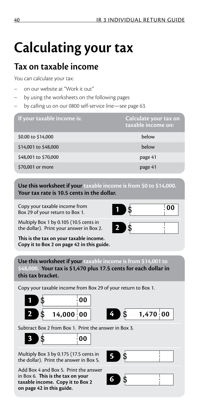# **Calculating your tax**

## **Tax on taxable income**

You can calculate your tax:

- on our website at "Work it out"
- by using the worksheets on the following pages
- by calling us on our 0800 self-service line—see page 63.

| If your taxable income is: | Calculate your tax on<br>taxable income on: |
|----------------------------|---------------------------------------------|
| \$0.00 to \$14,000         | below                                       |
| \$14,001 to \$48,000       | below                                       |
| \$48,001 to \$70,000       | page 41                                     |
| \$70,001 or more           | page 41                                     |

**Use this worksheet if your taxable income is from \$0 to \$14,000. Your tax rate is 10.5 cents in the dollar.**

Copy your taxable income from Box 29 of your return to Box 1.

Multiply Box 1 by 0.105 (10.5 cents in the dollar). Print your answer in Box 2.

**This is the tax on your taxable income. Copy it to Box 2 on page 42 in this guide.**

**Use this worksheet if your taxable income is from \$14,001 to \$48,000. Your tax is \$1,470 plus 17.5 cents for each dollar in this tax bracket.**

Copy your taxable income from Box 29 of your return to Box 1.

|                   | U |
|-------------------|---|
| $14,000 \cdot 00$ |   |



Subtract Box 2 from Box 1. Print the answer in Box 3.



Multiply Box 3 by 0.175 (17.5 cents in the dollar). Print the answer in Box 5.

Add Box 4 and Box 5. Print the answer in Box 6. **This is the tax on your taxable income. Copy it to Box 2 on page 42 in this guide.**





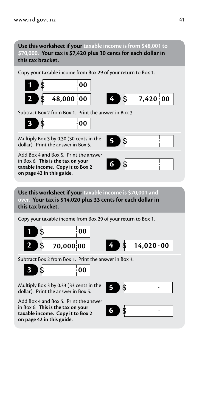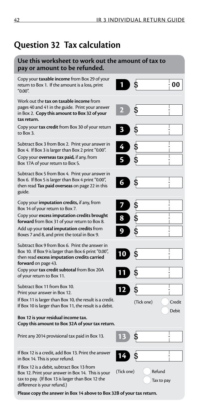# **Question 32 Tax calculation**

#### **Use this worksheet to work out the amount of tax to pay or amount to be refunded.**

| Copy your taxable income from Box 29 of your<br>return to Box 1. If the amount is a loss, print<br>"0.00".                                                                             |            | 00                            |
|----------------------------------------------------------------------------------------------------------------------------------------------------------------------------------------|------------|-------------------------------|
| Work out the tax on taxable income from<br>pages 40 and 41 in the guide. Print your answer<br>in Box 2. Copy this amount to Box 32 of your<br>tax return.                              |            |                               |
| Copy your tax credit from Box 30 of your return<br>to Box 3.                                                                                                                           | 3          |                               |
| Subtract Box 3 from Box 2. Print your answer in<br>Box 4. If Box 3 is larger than Box 2 print "0.00".<br>Copy your overseas tax paid, if any, from<br>Box 17A of your return to Box 5. |            |                               |
| Subtract Box 5 from Box 4. Print your answer in<br>Box 6. If Box 5 is larger than Box 4 print "0.00",<br>then read Tax paid overseas on page 22 in this<br>guide.                      | 6          |                               |
| Copy your <b>imputation credits</b> , if any, from<br>Box 14 of your return to Box 7.                                                                                                  |            |                               |
| Copy your excess imputation credits brought<br>forward from Box 31 of your return to Box 8.                                                                                            | 8          |                               |
| Add up your total imputation credits from<br>Boxes 7 and 8, and print the total in Box 9.                                                                                              | 9          |                               |
| Subtract Box 9 from Box 6. Print the answer in<br>Box 10. If Box 9 is larger than Box 6 print "0.00",<br>then read excess imputation credits carried<br>forward on page 43.            | 10         |                               |
| Copy your tax credit subtotal from Box 20A<br>of your return to Box 11.                                                                                                                |            |                               |
| Subtract Box 11 from Box 10.<br>Print your answer in Box 12.                                                                                                                           | 12         |                               |
| If Box 11 is larger than Box 10, the result is a credit.<br>If Box 10 is larger than Box 11, the result is a debit.                                                                    |            | (Tick one)<br>Credit<br>Debit |
| Box 12 is your residual income tax.<br>Copy this amount to Box 32A of your tax return.                                                                                                 |            |                               |
| Print any 2014 provisional tax paid in Box 13.                                                                                                                                         |            |                               |
| If Box 12 is a credit, add Box 13. Print the answer<br>in Box 14. This is your refund.                                                                                                 |            |                               |
| If Box 12 is a debit, subtract Box 13 from<br>Box 12. Print your answer in Box 14. This is your<br>tax to pay. (If Box 13 is larger than Box 12 the<br>difference is your refund.)     | (Tick one) | Refund<br>Tax to pay          |

**Please copy the answer in Box 14 above to Box 32B of your tax return.**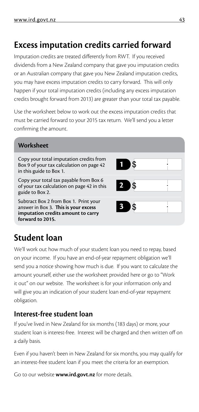# **Excess imputation credits carried forward**

Imputation credits are treated differently from RWT. If you received dividends from a New Zealand company that gave you imputation credits or an Australian company that gave you New Zealand imputation credits, you may have excess imputation credits to carry forward. This will only happen if your total imputation credits (including any excess imputation credits brought forward from 2013) are greater than your total tax payable.

Use the worksheet below to work out the excess imputation credits that must be carried forward to your 2015 tax return. We'll send you a letter confirming the amount.

**1**

\$

\$

 $\mathcal{S}$ 

**2**

**3**

#### **Worksheet**

Copy your total imputation credits from Box 9 of your tax calculation on page 42 in this guide to Box 1.

Copy your total tax payable from Box 6 of your tax calculation on page 42 in this guide to Box 2.

Subtract Box 2 from Box 1. Print your answer in Box 3. **This is your excess imputation credits amount to carry forward to 2015.**

## **Student loan**

We'll work out how much of your student loan you need to repay, based on your income. If you have an end-of-year repayment obligation we'll send you a notice showing how much is due. If you want to calculate the amount yourself, either use the worksheet provided here or go to "Work it out" on our website. The worksheet is for your information only and will give you an indication of your student loan end-of-year repayment obligation.

#### **Interest-free student loan**

If you've lived in New Zealand for six months (183 days) or more, your student loan is interest-free. Interest will be charged and then written off on a daily basis.

Even if you haven't been in New Zealand for six months, you may qualify for an interest-free student loan if you meet the criteria for an exemption.

Go to our website **www.ird.govt.nz** for more details.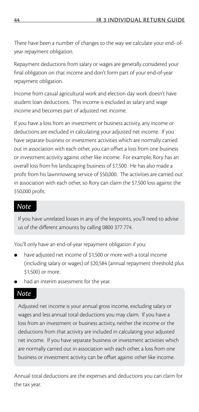There have been a number of changes to the way we calculate your end- ofyear repayment obligation.

Repayment deductions from salary or wages are generally considered your final obligation on that income and don't form part of your end-of-year repayment obligation.

Income from casual agricultural work and election day work doesn't have student loan deductions. This income is excluded as salary and wage income and becomes part of adjusted net income.

If you have a loss from an investment or business activity, any income or deductions are excluded in calculating your adjusted net income. If you have separate business or investment activities which are normally carried out in association with each other, you can offset a loss from one business or investment activity against other like income. For example, Rory has an overall loss from his landscaping business of \$7,500. He has also made a profit from his lawnmowing service of \$50,000. The activities are carried out in association with each other, so Rory can claim the \$7,500 loss against the \$50,000 profit.

#### *Note*

If you have unrelated losses in any of the keypoints, you'll need to advise us of the different amounts by calling 0800 377 774.

You'll only have an end-of-year repayment obligation if you:

- have adjusted net income of \$1,500 or more with a total income (including salary or wages) of \$20,584 (annual repayment threshold plus \$1,500) or more.
- had an interim assessment for the year.

#### *Note*

Adjusted net income is your annual gross income, excluding salary or wages and less annual total deductions you may claim. If you have a loss from an investment or business activity, neither the income or the deductions from that activity are included in calculating your adjusted net income. If you have separate business or investment activities which are normally carried out in association with each other, a loss from one business or investment activity can be offset against other like income.

Annual total deductions are the expenses and deductions you can claim for the tax year.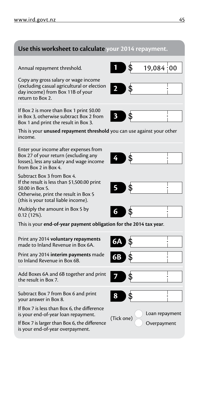#### **Use this worksheet to calculate your 2014 repayment.**

Annual repayment threshold. **19,084:00** 

Copy any gross salary or wage income (excluding casual agricultural or election day income) from Box 11B of your return to Box 2.

If Box 2 is more than Box 1 print \$0.00 in Box 3, otherwise subtract Box 2 from Box 1 and print the result in Box 3.

This is your **unused repayment threshold** you can use against your other income.

**4**

\$

Enter your income after expenses from Box 27 of your return (excluding any losses), less any salary and wage income from Box 2 in Box 4.

Subtract Box 3 from Box 4. If the result is less than \$1,500.00 print \$0.00 in Box 5.

Otherwise, print the result in Box 5 (this is your total liable income).

Multiply the amount in Box 5 by 0.12 (12%). **6**

This is your **end-of-year payment obligat** 

Print any 2014 **voluntary repayments** made to Inland Revenue in Box 6A. **6A**

Print any 2014 **interim payments** made to Inland Revenue in Box 6B. **6B**

Add Boxes 6A and 6B together and print the result in Box 7. **7**

Subtract Box 7 from Box 6 and print your answer in Box 8. **8**

If Box 7 is less than Box 6, the difference<br>is your end-of-year loan repayment.

is your end-or-year loan repayment. (Tick one) If Box 7 is larger than Box 6, the difference  $\bigcirc$  Overpayment is your end-of-year overpayment.

| ion for the 2014 tax year. |             |
|----------------------------|-------------|
| <b>6A</b> \$               |             |
| GB \$                      |             |
| $7$ s                      |             |
| 8 \$                       |             |
|                            | $l$ oan ron |







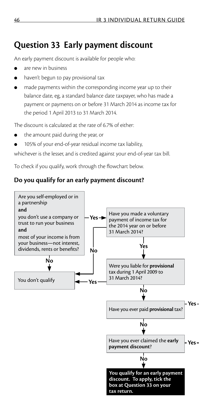# **Question 33 Early payment discount**

An early payment discount is available for people who:

- are new in business
- haven't begun to pay provisional tax
- made payments within the corresponding income year up to their balance date, eg, a standard balance date taxpayer, who has made a payment or payments on or before 31 March 2014 as income tax for the period 1 April 2013 to 31 March 2014.

The discount is calculated at the rate of 6.7% of either:

- the amount paid during the year, or
- 105% of your end-of-year residual income tax liability,

whichever is the lesser, and is credited against your end-of-year tax bill.

To check if you qualify, work through the flowchart below.

#### **Do you qualify for an early payment discount?**

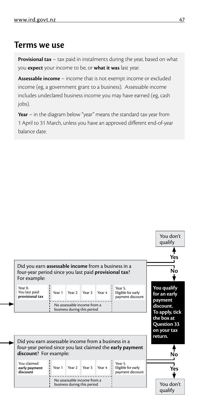## **Terms we use**

**Provisional tax** – tax paid in instalments during the year, based on what you **expect** your income to be, or **what it was** last year.

**Assessable income** – income that is not exempt income or excluded income (eg, a government grant to a business). Assessable income includes undeclared business income you may have earned (eg, cash jobs).

**Year** – in the diagram below "year" means the standard tax year from 1 April to 31 March, unless you have an approved different end-of-year balance date.

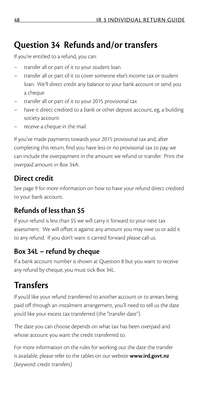# **Question 34 Refunds and/or transfers**

If you're entitled to a refund, you can:

- transfer all or part of it to your student loan
- transfer all or part of it to cover someone else's income tax or student loan. We'll direct credit any balance to your bank account or send you a cheque
- transfer all or part of it to your 2015 provisional tax
- have it direct credited to a bank or other deposit account, eg, a building society account
- receive a cheque in the mail.

If you've made payments towards your 2015 provisional tax and, after completing this return, find you have less or no provisional tax to pay, we can include the overpayment in the amount we refund or transfer. Print the overpaid amount in Box 34A.

#### **Direct credit**

See page 9 for more information on how to have your refund direct credited to your bank account.

### **Refunds of less than \$5**

If your refund is less than \$5 we will carry it forward to your next tax assessment. We will offset it against any amount you may owe us or add it to any refund. If you don't want it carried forward please call us.

#### **Box 34L – refund by cheque**

If a bank account number is shown at Question 8 but you want to receive any refund by cheque, you must tick Box 34L.

## **Transfers**

If you'd like your refund transferred to another account or to arrears being paid off through an instalment arrangement, you'll need to tell us the date you'd like your excess tax transferred (the "transfer date").

The date you can choose depends on what tax has been overpaid and whose account you want the credit transferred to.

For more information on the rules for working out the date the transfer is available, please refer to the tables on our website **www.ird.govt.nz** (keyword: credit transfers)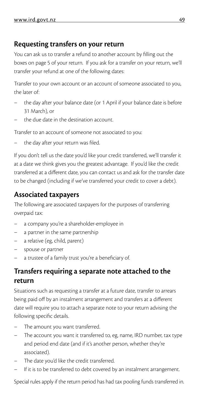#### **Requesting transfers on your return**

You can ask us to transfer a refund to another account by filling out the boxes on page 5 of your return. If you ask for a transfer on your return, we'll transfer your refund at one of the following dates:

Transfer to your own account or an account of someone associated to you, the later of:

- the day after your balance date (or 1 April if your balance date is before 31 March), or
- the due date in the destination account.

Transfer to an account of someone not associated to you:

the day after your return was filed.

If you don't tell us the date you'd like your credit transferred, we'll transfer it at a date we think gives you the greatest advantage. If you'd like the credit transferred at a different date, you can contact us and ask for the transfer date to be changed (including if we've transferred your credit to cover a debt).

## **Associated taxpayers**

The following are associated taxpayers for the purposes of transferring overpaid tax:

- a company you're a shareholder-employee in
- a partner in the same partnership
- a relative (eg, child, parent)
- spouse or partner
- a trustee of a family trust you're a beneficiary of.

#### **Transfers requiring a separate note attached to the return**

Situations such as requesting a transfer at a future date, transfer to arrears being paid off by an instalment arrangement and transfers at a different date will require you to attach a separate note to your return advising the following specific details.

- The amount you want transferred.
- The account you want it transferred to, eg, name, IRD number, tax type and period end date (and if it's another person, whether they're associated).
- The date you'd like the credit transferred.
- If it is to be transferred to debt covered by an instalment arrangement.

Special rules apply if the return period has had tax pooling funds transferred in.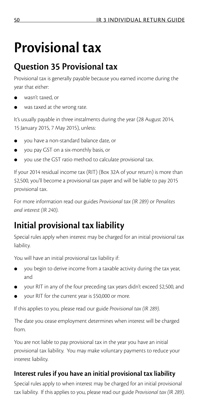# **Provisional tax**

# **Question 35 Provisional tax**

Provisional tax is generally payable because you earned income during the year that either:

- wasn't taxed, or
- was taxed at the wrong rate.

It's usually payable in three instalments during the year (28 August 2014, 15 January 2015, 7 May 2015), unless:

- you have a non-standard balance date, or
- you pay GST on a six-monthly basis, or
- you use the GST ratio method to calculate provisional tax.

If your 2014 residual income tax (RIT) (Box 32A of your return) is more than \$2,500, you'll become a provisional tax payer and will be liable to pay 2015 provisional tax.

For more information read our guides *Provisional tax (IR 289)* or *Penalites and interest (IR 240)*.

# **Initial provisional tax liability**

Special rules apply when interest may be charged for an initial provisional tax liability.

You will have an initial provisional tax liability if:

- you begin to derive income from a taxable activity during the tax year, and
- your RIT in any of the four preceding tax years didn't exceed \$2,500, and
- your RIT for the current year is \$50,000 or more.

If this applies to you, please read our guide *Provisional tax (IR 289)*.

The date you cease employment determines when interest will be charged from.

You are not liable to pay provisional tax in the year you have an initial provisional tax liability. You may make voluntary payments to reduce your interest liability.

### **Interest rules if you have an initial provisional tax liability**

Special rules apply to when interest may be charged for an initial provisional tax liability. If this applies to you, please read our guide *Provisional tax (IR 289)*.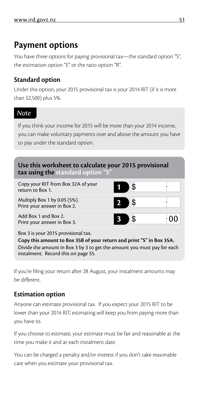## **Payment options**

You have three options for paying provisional tax—the standard option "S", the estimation option "E" or the ratio option "R".

#### **Standard option**

Under this option, your 2015 provisional tax is your 2014 RIT (if it is more than \$2,500) plus 5%.

#### *Note*

If you think your income for 2015 will be more than your 2014 income, you can make voluntary payments over and above the amount you have to pay under the standard option.

| Use this worksheet to calculate your 2015 provisional<br>tax using the standard option "S" |   |  |
|--------------------------------------------------------------------------------------------|---|--|
| Copy your RIT from Box 32A of your<br>return to Box 1.                                     | 1 |  |
| Multiply Box 1 by 0.05 (5%).<br>Print your answer in Box 2.                                |   |  |
| Add Box 1 and Box 2.<br>Print your answer in Box 3.                                        |   |  |

Box 3 is your 2015 provisional tax.

**Copy this amount to Box 35B of your return and print "S" in Box 35A.** Divide the amount in Box 3 by 3 to get the amount you must pay for each instalment. Record this on page 55.

If you're filing your return after 28 August, your instalment amounts may be different.

#### **Estimation option**

Anyone can estimate provisional tax. If you expect your 2015 RIT to be lower than your 2014 RIT, estimating will keep you from paying more than you have to.

If you choose to estimate, your estimate must be fair and reasonable at the time you make it and at each instalment date.

You can be charged a penalty and/or interest if you don't take reasonable care when you estimate your provisional tax.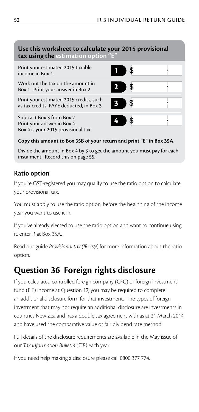#### **Use this worksheet to calculate your 2015 provisional**  tax using the estimation option '

Print your estimated 2015 taxable income in Box 1.

Work out the tax on the amount in Box 1. Print your answer in Box 2.

Print your estimated 2015 credits, such as tax credits, PAYE deducted, in Box 3.

Subtract Box 3 from Box 2. Print your answer in Box 4. Box 4 is your 2015 provisional tax.



\$

**Copy this amount to Box 35B of your return and print "E" in Box 35A.**

Divide the amount in Box 4 by 3 to get the amount you must pay for each instalment. Record this on page 55.

#### **Ratio option**

If you're GST-registered you may qualify to use the ratio option to calculate your provisional tax.

You must apply to use the ratio option, before the beginning of the income year you want to use it in.

If you've already elected to use the ratio option and want to continue using it, enter R at Box 35A.

Read our guide *Provisional tax (IR 289)* for more information about the ratio option.

# **Question 36 Foreign rights disclosure**

If you calculated controlled foreign company (CFC) or foreign investment fund (FIF) income at Question 17, you may be required to complete an additional disclosure form for that investment. The types of foreign investment that may not require an additional disclosure are investments in countries New Zealand has a double tax agreement with as at 31 March 2014 and have used the comparative value or fair dividend rate method.

Full details of the disclosure requirements are available in the May issue of our *Tax Information Bulletin (TIB)* each year.

If you need help making a disclosure please call 0800 377 774.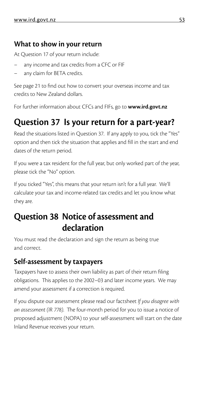#### **What to show in your return**

At Question 17 of your return include:

- any income and tax credits from a CFC or FIF
- any claim for BETA credits.

See page 21 to find out how to convert your overseas income and tax credits to New Zealand dollars.

For further information about CFCs and FIFs, go to **www.ird.govt.nz**

# **Question 37 Is your return for a part-year?**

Read the situations listed in Question 37. If any apply to you, tick the "Yes" option and then tick the situation that applies and fill in the start and end dates of the return period.

If you were a tax resident for the full year, but only worked part of the year, please tick the "No" option.

If you ticked "Yes", this means that your return isn't for a full year. We'll calculate your tax and income-related tax credits and let you know what they are.

# **Question 38 Notice of assessment and declaration**

You must read the declaration and sign the return as being true and correct.

#### **Self-assessment by taxpayers**

Taxpayers have to assess their own liability as part of their return filing obligations. This applies to the 2002–03 and later income years. We may amend your assessment if a correction is required.

If you dispute our assessment please read our factsheet *If you disagree with an assessment (IR 778)*. The four-month period for you to issue a notice of proposed adjustment (NOPA) to your self-assessment will start on the date Inland Revenue receives your return.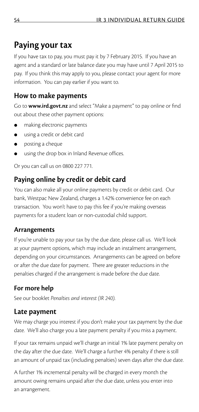## **Paying your tax**

If you have tax to pay, you must pay it by 7 February 2015. If you have an agent and a standard or late balance date you may have until 7 April 2015 to pay. If you think this may apply to you, please contact your agent for more information. You can pay earlier if you want to.

#### **How to make payments**

Go to **www.ird.govt.nz** and select "Make a payment" to pay online or find out about these other payment options:

- making electronic payments
- using a credit or debit card
- posting a cheque
- using the drop box in Inland Revenue offices.

Or you can call us on 0800 227 771.

### **Paying online by credit or debit card**

You can also make all your online payments by credit or debit card. Our bank, Westpac New Zealand, charges a 1.42% convenience fee on each transaction. You won't have to pay this fee if you're making overseas payments for a student loan or non-custodial child support.

#### **Arrangements**

If you're unable to pay your tax by the due date, please call us. We'll look at your payment options, which may include an instalment arrangement, depending on your circumstances. Arrangements can be agreed on before or after the due date for payment. There are greater reductions in the penalties charged if the arrangement is made before the due date.

#### **For more help**

See our booklet *Penalties and interest (IR 240)*.

#### **Late payment**

We may charge you interest if you don't make your tax payment by the due date. We'll also charge you a late payment penalty if you miss a payment.

If your tax remains unpaid we'll charge an initial 1% late payment penalty on the day after the due date. We'll charge a further 4% penalty if there is still an amount of unpaid tax (including penalties) seven days after the due date.

A further 1% incremental penalty will be charged in every month the amount owing remains unpaid after the due date, unless you enter into an arrangement.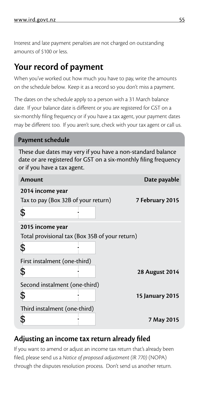Interest and late payment penalties are not charged on outstanding amounts of \$100 or less.

# **Your record of payment**

When you've worked out how much you have to pay, write the amounts on the schedule below. Keep it as a record so you don't miss a payment.

The dates on the schedule apply to a person with a 31 March balance date. If your balance date is different or you are registered for GST on a six-monthly filing frequency or if you have a tax agent, your payment dates may be different too. If you aren't sure, check with your tax agent or call us.

#### **Payment schedule**

These due dates may very if you have a non-standard balance date or are registered for GST on a six-monthly filing frequency or if you have a tax agent.

| Amount                              |                                                | Date payable           |
|-------------------------------------|------------------------------------------------|------------------------|
| 2014 income year                    |                                                |                        |
| Tax to pay (Box 32B of your return) |                                                | 7 February 2015        |
| \$                                  |                                                |                        |
| 2015 income year                    |                                                |                        |
|                                     | Total provisional tax (Box 35B of your return) |                        |
| \$                                  |                                                |                        |
| First instalment (one-third)        |                                                |                        |
| \$                                  |                                                | <b>28 August 2014</b>  |
| Second instalment (one-third)       |                                                |                        |
| \$                                  |                                                | <b>15 January 2015</b> |
| Third instalment (one-third)        |                                                |                        |
|                                     |                                                | 7 May 2015             |

#### **Adjusting an income tax return already filed**

If you want to amend or adjust an income tax return that's already been filed, please send us a *Notice of proposed adjustment (IR 770)* (NOPA) through the disputes resolution process. Don't send us another return.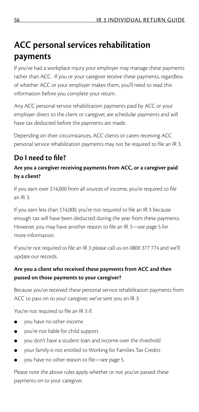# **ACC personal services rehabilitation payments**

If you've had a workplace injury your employer may manage these payments rather than ACC. If you or your caregiver receive these payments, regardless of whether ACC or your employer makes them, you'll need to read this information before you complete your return.

Any ACC personal service rehabilitation payments paid by ACC or your employer direct to the client or caregiver, are schedular payments and will have tax deducted before the payments are made.

Depending on their circumstances, ACC clients or carers receiving ACC personal service rehabilitation payments may not be required to file an IR 3.

## **Do I need to file?**

#### **Are you a caregiver receiving payments from ACC, or a caregiver paid by a client?**

If you earn over \$14,000 from all sources of income, you're required to file an IR 3.

If you earn less than \$14,000, you're not required to file an IR 3 because enough tax will have been deducted during the year from these payments. However, you may have another reason to file an IR 3—see page 5 for more information.

If you're not required to file an IR 3 please call us on 0800 377 774 and we'll update our records.

#### **Are you a client who received these payments from ACC and then passed on those payments to your caregiver?**

Because you've received these personal service rehabilitation payments from ACC to pass on to your caregiver, we've sent you an IR 3.

You're not required to file an IR 3 if:

- you have no other income
- you're not liable for child support
- you don't have a student loan and income over the threshold
- your family is not entitled to Working for Families Tax Credits
- you have no other reason to file—see page 5.

Please note the above rules apply whether or not you've passed these payments on to your caregiver.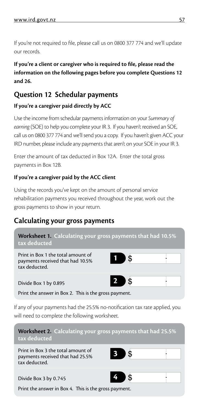If you're not required to file, please call us on 0800 377 774 and we'll update our records.

**If you're a client or caregiver who is required to file, please read the information on the following pages before you complete Questions 12 and 26.**

#### **Question 12 Schedular payments**

#### **If you're a caregiver paid directly by ACC**

Use the income from schedular payments information on your *Summary of earning* (SOE) to help you complete your IR 3. If you haven't received an SOE, call us on 0800 377 774 and we'll send you a copy. If you haven't given ACC your IRD number, please include any payments that aren't on your SOE in your IR 3.

Enter the amount of tax deducted in Box 12A. Enter the total gross payments in Box 12B.

#### **If you're a caregiver paid by the ACC client**

Using the records you've kept on the amount of personal service rehabilitation payments you received throughout the year, work out the gross payments to show in your return.

#### **Calculating your gross payments**



If any of your payments had the 25.5% no-notification tax rate applied, you will need to complete the following worksheet.

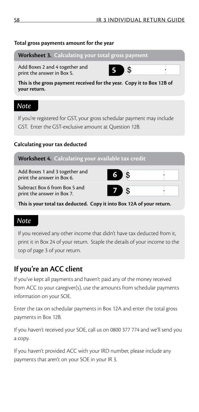#### **Total gross payments amount for the year**

**Worksheet 3. Calculating your total gross payment**

Add Boxes 2 and 4 together and print the answer in Box 5.

**5** \$

**This is the gross payment received for the year. Copy it to Box 12B of your return.**

#### *Note*

If you're registered for GST, your gross schedular payment may include GST. Enter the GST-exclusive amount at Question 12B.

#### **Calculating your tax deducted**

| Worksheet 4. Calculating your available tax credit           |   |  |
|--------------------------------------------------------------|---|--|
| Add Boxes 1 and 3 together and<br>print the answer in Box 6. | 6 |  |
| Subtract Box 6 from Box 5 and<br>print the answer in Box 7.  | 7 |  |

**This is your total tax deducted. Copy it into Box 12A of your return.**

#### *Note*

If you received any other income that didn't have tax deducted from it, print it in Box 24 of your return. Staple the details of your income to the top of page 3 of your return.

#### **If you're an ACC client**

If you've kept all payments and haven't paid any of the money received from ACC to your caregiver(s), use the amounts from schedular payments information on your SOE.

Enter the tax on schedular payments in Box 12A and enter the total gross payments in Box 12B.

If you haven't received your SOE, call us on 0800 377 774 and we'll send you a copy.

If you haven't provided ACC with your IRD number, please include any payments that aren't on your SOE in your IR 3.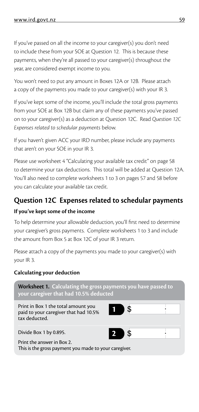If you've passed on all the income to your caregiver(s) you don't need to include these from your SOE at Question 12. This is because these payments, when they're all passed to your caregiver(s) throughout the year, are considered exempt income to you.

You won't need to put any amount in Boxes 12A or 12B. Please attach a copy of the payments you made to your caregiver(s) with your IR 3.

If you've kept some of the income, you'll include the total gross payments from your SOE at Box 12B but claim any of these payments you've passed on to your caregiver(s) as a deduction at Question 12C. Read *Question 12C Expenses related to schedular payments* below.

If you haven't given ACC your IRD number, please include any payments that aren't on your SOE in your IR 3.

Please use worksheet 4 "Calculating your available tax credit" on page 58 to determine your tax deductions. This total will be added at Question 12A. You'll also need to complete worksheets 1 to 3 on pages 57 and 58 before you can calculate your available tax credit.

## **Question 12C Expenses related to schedular payments If you've kept some of the income**

To help determine your allowable deduction, you'll first need to determine your caregiver's gross payments. Complete worksheets 1 to 3 and include the amount from Box 5 at Box 12C of your IR 3 return.

Please attach a copy of the payments you made to your caregiver(s) with your IR 3.

#### **Calculating your deduction**

**Worksheet 1. Calculating the gross payments you have passed to your caregiver that had 10.5% deducted**

Print in Box 1 the total amount you paid to your caregiver that had 10.5% tax deducted.

| u. |  |
|----|--|
|    |  |

\$

Divide Box 1 by 0.895.

Print the answer in Box 2. This is the gross payment you made to your caregiver. **2**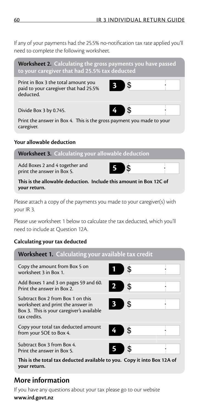If any of your payments had the 25.5% no-notification tax rate applied you'll need to complete the following worksheet.

**Worksheet 2. Calculating the gross payments you have passed to your caregiver that had 25.5% tax deducted**

Print in Box 3 the total amount you paid to your caregiver that had 25.5% deducted.

Divide Box 3 by 0.745.

Print the answer in Box 4. This is the gross payment you made to your caregiver.

#### **Your allowable deduction**

|  | Worksheet 3. Calculating your allowable deduction |  |
|--|---------------------------------------------------|--|
|--|---------------------------------------------------|--|

Add Boxes 2 and 4 together and print the answer in Box 5.

#### **This is the allowable deduction. Include this amount in Box 12C of your return.**

Please attach a copy of the payments you made to your caregiver(s) with your IR 3.

Please use worksheet 1 below to calculate the tax deducted, which you'll need to include at Question 12A.

#### **Calculating your tax deducted**

#### **Worksheet 1. Calculating your available tax credit** Copy the amount from Box 5 on **1** worksheet 3 in Box 1. Add Boxes 1 and 3 on pages 59 and 60. **2** \$ Print the answer in Box 2. Subtract Box 2 from Box 1 on this **3** worksheet and print the answer in \$ Box 3. This is your caregiver's available tax credits. Copy your total tax deducted amount **4** S from your SOE to Box 4. Subtract Box 3 from Box 4. **5** Print the answer in Box 5. **This is the total tax deducted available to you. Copy it into Box 12A of your return.**

#### **More information**

If you have any questions about your tax please go to our website **www.ird.govt.nz**



S

**3**

**4**



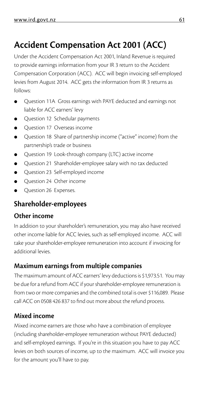# **Accident Compensation Act 2001 (ACC)**

Under the Accident Compensation Act 2001, Inland Revenue is required to provide earnings information from your IR 3 return to the Accident Compensation Corporation (ACC). ACC will begin invoicing self-employed levies from August 2014. ACC gets the information from IR 3 returns as follows:

- Question 11A Gross earnings with PAYE deducted and earnings not liable for ACC earners' levy
- Question 12 Schedular payments
- Question 17 Overseas income
- Question 18 Share of partnership income ("active" income) from the partnership's trade or business
- Question 19 Look-through company (LTC) active income
- Question 21 Shareholder-employee salary with no tax deducted
- Question 23 Self-employed income
- Question 24 Other income
- Question 26 Expenses.

### **Shareholder-employees**

#### **Other income**

In addition to your shareholder's remuneration, you may also have received other income liable for ACC levies, such as self-employed income. ACC will take your shareholder-employee remuneration into account if invoicing for additional levies.

#### **Maximum earnings from multiple companies**

The maximum amount of ACC earners' levy deductions is \$1,973.51. You may be due for a refund from ACC if your shareholder-employee remuneration is from two or more companies and the combined total is over \$116,089. Please call ACC on 0508 426 837 to find out more about the refund process.

#### **Mixed income**

Mixed income earners are those who have a combination of employee (including shareholder-employee remuneration without PAYE deducted) and self-employed earnings. If you're in this situation you have to pay ACC levies on both sources of income, up to the maximum. ACC will invoice you for the amount you'll have to pay.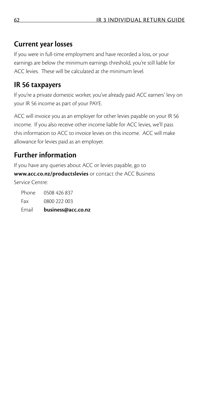#### **Current year losses**

If you were in full-time employment and have recorded a loss, or your earnings are below the minimum earnings threshold, you're still liable for ACC levies. These will be calculated at the minimum level.

#### **IR 56 taxpayers**

If you're a private domestic worker, you've already paid ACC earners' levy on your IR 56 income as part of your PAYE.

ACC will invoice you as an employer for other levies payable on your IR 56 income. If you also receive other income liable for ACC levies, we'll pass this information to ACC to invoice levies on this income. ACC will make allowance for levies paid as an employer.

## **Further information**

If you have any queries about ACC or levies payable, go to **www.acc.co.nz/productslevies** or contact the ACC Business Service Centre:

Phone 0508 426 837 Fax 0800 222 003 Email **business@acc.co.nz**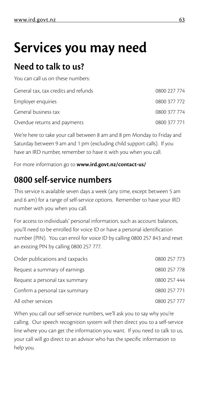# **Services you may need**

## **Need to talk to us?**

You can call us on these numbers:

| General tax, tax credits and refunds | 0800 227 774 |
|--------------------------------------|--------------|
| Employer enquiries                   | 0800 377 772 |
| General business tax                 | 0800 377 774 |
| Overdue returns and payments         | 0800 377 771 |

We're here to take your call between 8 am and 8 pm Monday to Friday and Saturday between 9 am and 1 pm (excluding child support calls). If you have an IRD number, remember to have it with you when you call.

For more information go to **www.ird.govt.nz/contact-us/**

## **0800 self-service numbers**

This service is available seven days a week (any time, except between 5 am and 6 am) for a range of self-service options. Remember to have your IRD number with you when you call.

For access to individuals' personal information, such as account balances, you'll need to be enrolled for voice ID or have a personal identification number (PIN). You can enrol for voice ID by calling 0800 257 843 and reset an existing PIN by calling 0800 257 777.

| Order publications and taxpacks | 0800 257 773 |  |
|---------------------------------|--------------|--|
| Request a summary of earnings   | 0800 257 778 |  |
| Request a personal tax summary  | 0800 257 444 |  |
| Confirm a personal tax summary  | 0800 257 771 |  |
| All other services              | 0800 257 777 |  |

When you call our self-service numbers, we'll ask you to say why you're calling. Our speech recognition system will then direct you to a self-service line where you can get the information you want. If you need to talk to us, your call will go direct to an advisor who has the specific information to help you.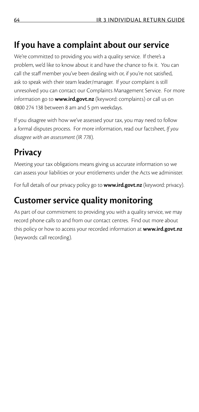# **If you have a complaint about our service**

We're committed to providing you with a quality service. If there's a problem, we'd like to know about it and have the chance to fix it. You can call the staff member you've been dealing with or, if you're not satisfied, ask to speak with their team leader/manager. If your complaint is still unresolved you can contact our Complaints Management Service. For more information go to **www.ird.govt.nz** (keyword: complaints) or call us on 0800 274 138 between 8 am and 5 pm weekdays.

If you disagree with how we've assessed your tax, you may need to follow a formal disputes process. For more information, read our factsheet, *If you disagree with an assessment (IR 778*).

# **Privacy**

Meeting your tax obligations means giving us accurate information so we can assess your liabilities or your entitlements under the Acts we administer.

For full details of our privacy policy go to **www.ird.govt.nz** (keyword: privacy).

# **Customer service quality monitoring**

As part of our commitment to providing you with a quality service, we may record phone calls to and from our contact centres. Find out more about this policy or how to access your recorded information at **www.ird.govt.nz** (keywords: call recording).